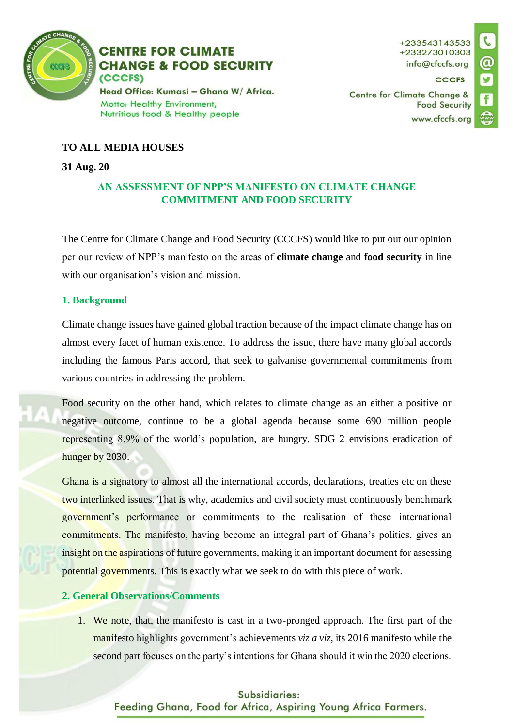

**CENTRE FOR CLIMATE CHANGE & FOOD SECURITY** (CCCFS) Head Office: Kumasi - Ghana W/ Africa.

Motto: Healthy Environment, Nutritious food & Healthy people **CCCFS** 

**Centre for Climate Change & Food Security** www.cfccfs.org



## **TO ALL MEDIA HOUSES**

#### **31 Aug. 20**

# **AN ASSESSMENT OF NPP'S MANIFESTO ON CLIMATE CHANGE COMMITMENT AND FOOD SECURITY**

The Centre for Climate Change and Food Security (CCCFS) would like to put out our opinion per our review of NPP's manifesto on the areas of **climate change** and **food security** in line with our organisation's vision and mission.

## **1. Background**

Climate change issues have gained global traction because of the impact climate change has on almost every facet of human existence. To address the issue, there have many global accords including the famous Paris accord, that seek to galvanise governmental commitments from various countries in addressing the problem.

Food security on the other hand, which relates to climate change as an either a positive or negative outcome, continue to be a global agenda because some 690 million people representing 8.9% of the world's population, are hungry. SDG 2 envisions eradication of hunger by 2030.

Ghana is a signatory to almost all the international accords, declarations, treaties etc on these two interlinked issues. That is why, academics and civil society must continuously benchmark government's performance or commitments to the realisation of these international commitments. The manifesto, having become an integral part of Ghana's politics, gives an insight on the aspirations of future governments, making it an important document for assessing potential governments. This is exactly what we seek to do with this piece of work.

## **2. General Observations/Comments**

1. We note, that, the manifesto is cast in a two-pronged approach. The first part of the manifesto highlights government's achievements *viz a viz*, its 2016 manifesto while the second part focuses on the party's intentions for Ghana should it win the 2020 elections.

## Subsidiaries:

Feeding Ghana, Food for Africa, Aspiring Young Africa Farmers.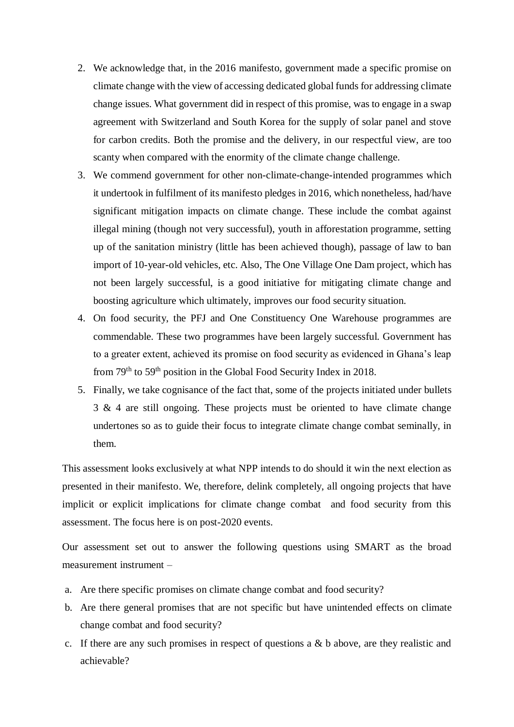- 2. We acknowledge that, in the 2016 manifesto, government made a specific promise on climate change with the view of accessing dedicated global funds for addressing climate change issues. What government did in respect of this promise, was to engage in a swap agreement with Switzerland and South Korea for the supply of solar panel and stove for carbon credits. Both the promise and the delivery, in our respectful view, are too scanty when compared with the enormity of the climate change challenge.
- 3. We commend government for other non-climate-change-intended programmes which it undertook in fulfilment of its manifesto pledges in 2016, which nonetheless, had/have significant mitigation impacts on climate change. These include the combat against illegal mining (though not very successful), youth in afforestation programme, setting up of the sanitation ministry (little has been achieved though), passage of law to ban import of 10-year-old vehicles, etc. Also, The One Village One Dam project*,* which has not been largely successful, is a good initiative for mitigating climate change and boosting agriculture which ultimately, improves our food security situation.
- 4. On food security, the PFJ and One Constituency One Warehouse programmes are commendable. These two programmes have been largely successful. Government has to a greater extent, achieved its promise on food security as evidenced in Ghana's leap from 79<sup>th</sup> to 59<sup>th</sup> position in the Global Food Security Index in 2018.
- 5. Finally, we take cognisance of the fact that, some of the projects initiated under bullets 3 & 4 are still ongoing. These projects must be oriented to have climate change undertones so as to guide their focus to integrate climate change combat seminally, in them.

This assessment looks exclusively at what NPP intends to do should it win the next election as presented in their manifesto. We, therefore, delink completely, all ongoing projects that have implicit or explicit implications for climate change combat and food security from this assessment. The focus here is on post-2020 events.

Our assessment set out to answer the following questions using SMART as the broad measurement instrument –

- a. Are there specific promises on climate change combat and food security?
- b. Are there general promises that are not specific but have unintended effects on climate change combat and food security?
- c. If there are any such promises in respect of questions a  $\&$  b above, are they realistic and achievable?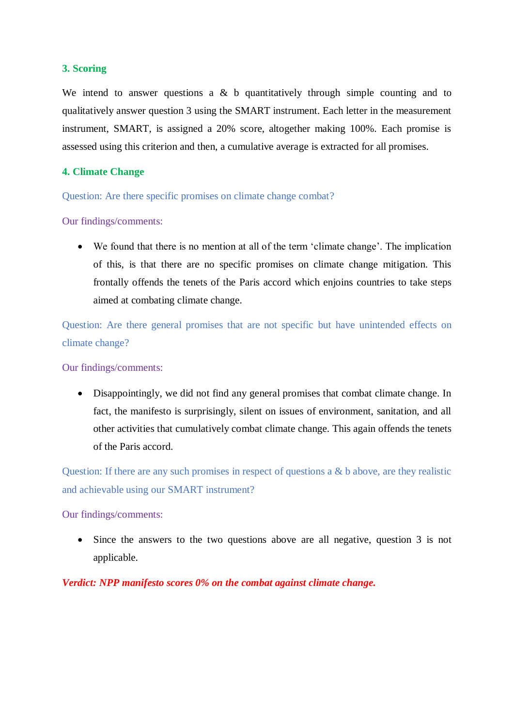## **3. Scoring**

We intend to answer questions a  $\&$  b quantitatively through simple counting and to qualitatively answer question 3 using the SMART instrument. Each letter in the measurement instrument, SMART, is assigned a 20% score, altogether making 100%. Each promise is assessed using this criterion and then, a cumulative average is extracted for all promises.

## **4. Climate Change**

Question: Are there specific promises on climate change combat?

## Our findings/comments:

 We found that there is no mention at all of the term 'climate change'. The implication of this, is that there are no specific promises on climate change mitigation. This frontally offends the tenets of the Paris accord which enjoins countries to take steps aimed at combating climate change.

Question: Are there general promises that are not specific but have unintended effects on climate change?

Our findings/comments:

 Disappointingly, we did not find any general promises that combat climate change. In fact, the manifesto is surprisingly, silent on issues of environment, sanitation, and all other activities that cumulatively combat climate change. This again offends the tenets of the Paris accord.

Question: If there are any such promises in respect of questions a & b above, are they realistic and achievable using our SMART instrument?

#### Our findings/comments:

 Since the answers to the two questions above are all negative, question 3 is not applicable.

## *Verdict: NPP manifesto scores 0% on the combat against climate change.*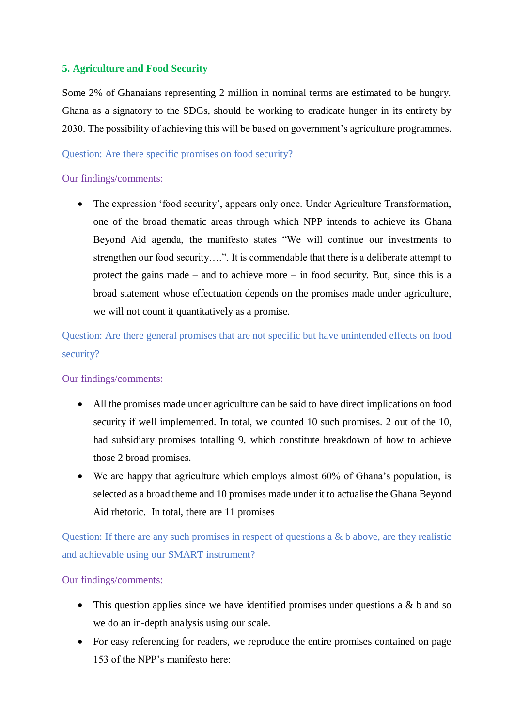# **5. Agriculture and Food Security**

Some 2% of Ghanaians representing 2 million in nominal terms are estimated to be hungry. Ghana as a signatory to the SDGs, should be working to eradicate hunger in its entirety by 2030. The possibility of achieving this will be based on government's agriculture programmes.

#### Question: Are there specific promises on food security?

## Our findings/comments:

 The expression 'food security', appears only once. Under Agriculture Transformation, one of the broad thematic areas through which NPP intends to achieve its Ghana Beyond Aid agenda, the manifesto states "We will continue our investments to strengthen our food security….". It is commendable that there is a deliberate attempt to protect the gains made – and to achieve more – in food security. But, since this is a broad statement whose effectuation depends on the promises made under agriculture, we will not count it quantitatively as a promise.

Question: Are there general promises that are not specific but have unintended effects on food security?

#### Our findings/comments:

- All the promises made under agriculture can be said to have direct implications on food security if well implemented. In total, we counted 10 such promises. 2 out of the 10, had subsidiary promises totalling 9, which constitute breakdown of how to achieve those 2 broad promises.
- We are happy that agriculture which employs almost 60% of Ghana's population, is selected as a broad theme and 10 promises made under it to actualise the Ghana Beyond Aid rhetoric. In total, there are 11 promises

Question: If there are any such promises in respect of questions a & b above, are they realistic and achievable using our SMART instrument?

#### Our findings/comments:

- This question applies since we have identified promises under questions a  $\&$  b and so we do an in-depth analysis using our scale.
- For easy referencing for readers, we reproduce the entire promises contained on page 153 of the NPP's manifesto here: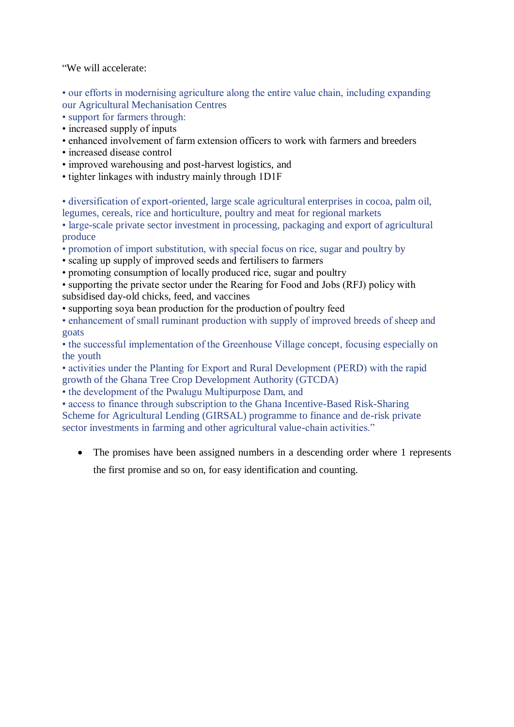"We will accelerate:

• our efforts in modernising agriculture along the entire value chain, including expanding our Agricultural Mechanisation Centres

- support for farmers through:
- increased supply of inputs
- enhanced involvement of farm extension officers to work with farmers and breeders
- increased disease control
- improved warehousing and post-harvest logistics, and
- tighter linkages with industry mainly through 1D1F

• diversification of export-oriented, large scale agricultural enterprises in cocoa, palm oil, legumes, cereals, rice and horticulture, poultry and meat for regional markets

• large-scale private sector investment in processing, packaging and export of agricultural produce

- promotion of import substitution, with special focus on rice, sugar and poultry by
- scaling up supply of improved seeds and fertilisers to farmers
- promoting consumption of locally produced rice, sugar and poultry
- supporting the private sector under the Rearing for Food and Jobs (RFJ) policy with subsidised day-old chicks, feed, and vaccines
- supporting soya bean production for the production of poultry feed
- enhancement of small ruminant production with supply of improved breeds of sheep and goats

• the successful implementation of the Greenhouse Village concept, focusing especially on the youth

• activities under the Planting for Export and Rural Development (PERD) with the rapid growth of the Ghana Tree Crop Development Authority (GTCDA)

• the development of the Pwalugu Multipurpose Dam, and

• access to finance through subscription to the Ghana Incentive-Based Risk-Sharing Scheme for Agricultural Lending (GIRSAL) programme to finance and de-risk private sector investments in farming and other agricultural value-chain activities."

• The promises have been assigned numbers in a descending order where 1 represents

the first promise and so on, for easy identification and counting.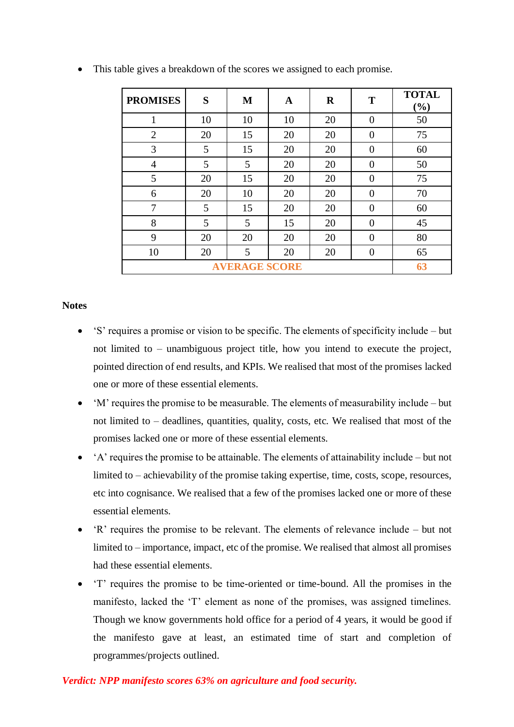| <b>PROMISES</b>      | S  | M  | A  | $\bf R$ | T        | <b>TOTAL</b><br>(%) |
|----------------------|----|----|----|---------|----------|---------------------|
| 1                    | 10 | 10 | 10 | 20      | $\theta$ | 50                  |
| $\overline{2}$       | 20 | 15 | 20 | 20      | $\theta$ | 75                  |
| 3                    | 5  | 15 | 20 | 20      | $\theta$ | 60                  |
| $\overline{4}$       | 5  | 5  | 20 | 20      | $\Omega$ | 50                  |
| 5                    | 20 | 15 | 20 | 20      | $\Omega$ | 75                  |
| 6                    | 20 | 10 | 20 | 20      | $\Omega$ | 70                  |
| 7                    | 5  | 15 | 20 | 20      | $\theta$ | 60                  |
| 8                    | 5  | 5  | 15 | 20      | $\Omega$ | 45                  |
| 9                    | 20 | 20 | 20 | 20      | $\theta$ | 80                  |
| 10                   | 20 | 5  | 20 | 20      | $\Omega$ | 65                  |
| <b>AVERAGE SCORE</b> |    |    |    |         |          | 63                  |

This table gives a breakdown of the scores we assigned to each promise.

## **Notes**

- 'S' requires a promise or vision to be specific. The elements of specificity include but not limited to – unambiguous project title, how you intend to execute the project, pointed direction of end results, and KPIs. We realised that most of the promises lacked one or more of these essential elements.
- 'M' requires the promise to be measurable. The elements of measurability include but not limited to – deadlines, quantities, quality, costs, etc. We realised that most of the promises lacked one or more of these essential elements.
- 'A' requires the promise to be attainable. The elements of attainability include but not limited to – achievability of the promise taking expertise, time, costs, scope, resources, etc into cognisance. We realised that a few of the promises lacked one or more of these essential elements.
- 'R' requires the promise to be relevant. The elements of relevance include but not limited to – importance, impact, etc of the promise. We realised that almost all promises had these essential elements.
- 'T' requires the promise to be time-oriented or time-bound. All the promises in the manifesto, lacked the 'T' element as none of the promises, was assigned timelines. Though we know governments hold office for a period of 4 years, it would be good if the manifesto gave at least, an estimated time of start and completion of programmes/projects outlined.

#### *Verdict: NPP manifesto scores 63% on agriculture and food security.*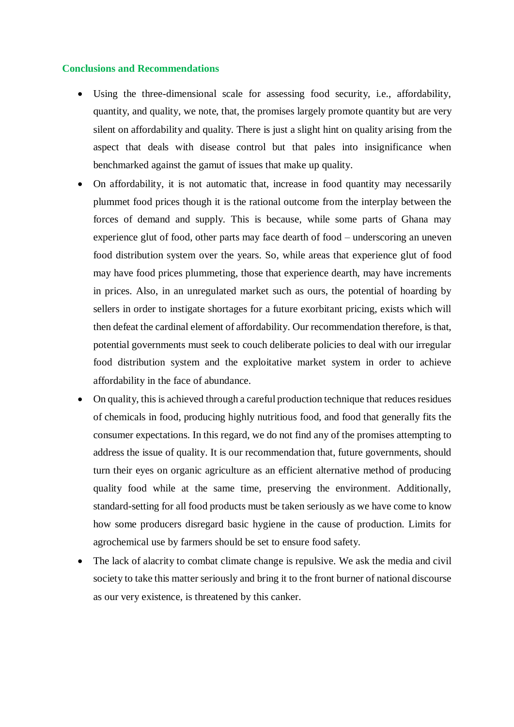#### **Conclusions and Recommendations**

- Using the three-dimensional scale for assessing food security, i.e., affordability, quantity, and quality, we note, that, the promises largely promote quantity but are very silent on affordability and quality. There is just a slight hint on quality arising from the aspect that deals with disease control but that pales into insignificance when benchmarked against the gamut of issues that make up quality.
- On affordability, it is not automatic that, increase in food quantity may necessarily plummet food prices though it is the rational outcome from the interplay between the forces of demand and supply. This is because, while some parts of Ghana may experience glut of food, other parts may face dearth of food – underscoring an uneven food distribution system over the years. So, while areas that experience glut of food may have food prices plummeting, those that experience dearth, may have increments in prices. Also, in an unregulated market such as ours, the potential of hoarding by sellers in order to instigate shortages for a future exorbitant pricing, exists which will then defeat the cardinal element of affordability. Our recommendation therefore, is that, potential governments must seek to couch deliberate policies to deal with our irregular food distribution system and the exploitative market system in order to achieve affordability in the face of abundance.
- On quality, this is achieved through a careful production technique that reduces residues of chemicals in food, producing highly nutritious food, and food that generally fits the consumer expectations. In this regard, we do not find any of the promises attempting to address the issue of quality. It is our recommendation that, future governments, should turn their eyes on organic agriculture as an efficient alternative method of producing quality food while at the same time, preserving the environment. Additionally, standard-setting for all food products must be taken seriously as we have come to know how some producers disregard basic hygiene in the cause of production. Limits for agrochemical use by farmers should be set to ensure food safety.
- The lack of alacrity to combat climate change is repulsive. We ask the media and civil society to take this matter seriously and bring it to the front burner of national discourse as our very existence, is threatened by this canker.